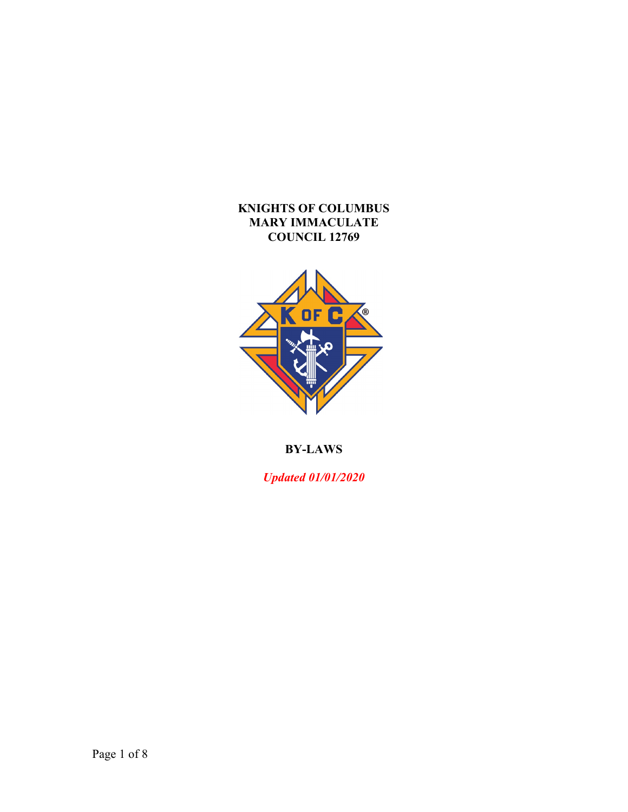## **KNIGHTS OF COLUMBUS MARY IMMACULATE COUNCIL 12769**



# **BY-LAWS**

*Updated 01/01/2020*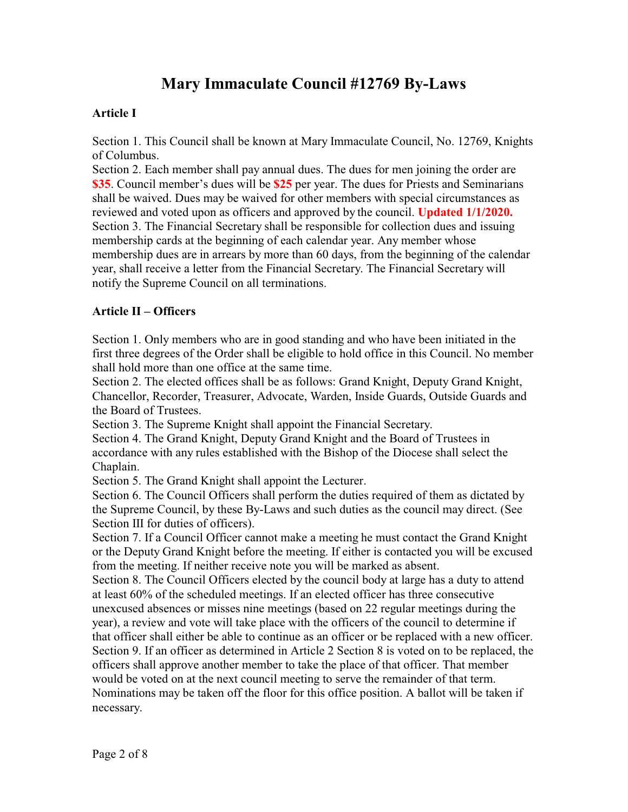# **Mary Immaculate Council #12769 By-Laws**

## **Article I**

Section 1. This Council shall be known at Mary Immaculate Council, No. 12769, Knights of Columbus.

Section 2. Each member shall pay annual dues. The dues for men joining the order are **\$35**. Council member's dues will be **\$25** per year. The dues for Priests and Seminarians shall be waived. Dues may be waived for other members with special circumstances as reviewed and voted upon as officers and approved by the council. **Updated 1/1/2020.** Section 3. The Financial Secretary shall be responsible for collection dues and issuing membership cards at the beginning of each calendar year. Any member whose membership dues are in arrears by more than 60 days, from the beginning of the calendar year, shall receive a letter from the Financial Secretary. The Financial Secretary will notify the Supreme Council on all terminations.

## **Article II – Officers**

Section 1. Only members who are in good standing and who have been initiated in the first three degrees of the Order shall be eligible to hold office in this Council. No member shall hold more than one office at the same time.

Section 2. The elected offices shall be as follows: Grand Knight, Deputy Grand Knight, Chancellor, Recorder, Treasurer, Advocate, Warden, Inside Guards, Outside Guards and the Board of Trustees.

Section 3. The Supreme Knight shall appoint the Financial Secretary.

Section 4. The Grand Knight, Deputy Grand Knight and the Board of Trustees in accordance with any rules established with the Bishop of the Diocese shall select the Chaplain.

Section 5. The Grand Knight shall appoint the Lecturer.

Section 6. The Council Officers shall perform the duties required of them as dictated by the Supreme Council, by these By-Laws and such duties as the council may direct. (See Section III for duties of officers).

Section 7. If a Council Officer cannot make a meeting he must contact the Grand Knight or the Deputy Grand Knight before the meeting. If either is contacted you will be excused from the meeting. If neither receive note you will be marked as absent.

Section 8. The Council Officers elected by the council body at large has a duty to attend at least 60% of the scheduled meetings. If an elected officer has three consecutive unexcused absences or misses nine meetings (based on 22 regular meetings during the year), a review and vote will take place with the officers of the council to determine if that officer shall either be able to continue as an officer or be replaced with a new officer. Section 9. If an officer as determined in Article 2 Section 8 is voted on to be replaced, the officers shall approve another member to take the place of that officer. That member would be voted on at the next council meeting to serve the remainder of that term. Nominations may be taken off the floor for this office position. A ballot will be taken if necessary.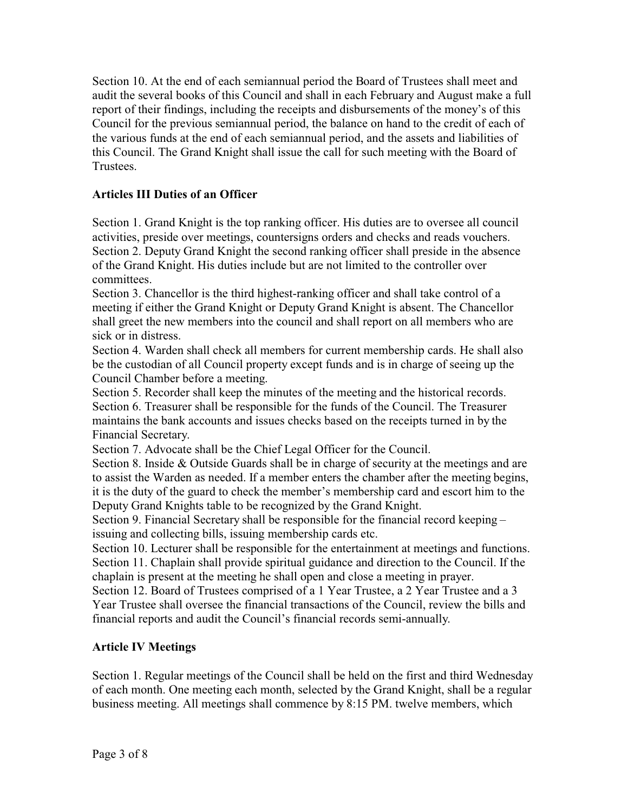Section 10. At the end of each semiannual period the Board of Trustees shall meet and audit the several books of this Council and shall in each February and August make a full report of their findings, including the receipts and disbursements of the money's of this Council for the previous semiannual period, the balance on hand to the credit of each of the various funds at the end of each semiannual period, and the assets and liabilities of this Council. The Grand Knight shall issue the call for such meeting with the Board of **Trustees** 

## **Articles III Duties of an Officer**

Section 1. Grand Knight is the top ranking officer. His duties are to oversee all council activities, preside over meetings, countersigns orders and checks and reads vouchers. Section 2. Deputy Grand Knight the second ranking officer shall preside in the absence of the Grand Knight. His duties include but are not limited to the controller over committees.

Section 3. Chancellor is the third highest-ranking officer and shall take control of a meeting if either the Grand Knight or Deputy Grand Knight is absent. The Chancellor shall greet the new members into the council and shall report on all members who are sick or in distress.

Section 4. Warden shall check all members for current membership cards. He shall also be the custodian of all Council property except funds and is in charge of seeing up the Council Chamber before a meeting.

Section 5. Recorder shall keep the minutes of the meeting and the historical records. Section 6. Treasurer shall be responsible for the funds of the Council. The Treasurer maintains the bank accounts and issues checks based on the receipts turned in by the Financial Secretary.

Section 7. Advocate shall be the Chief Legal Officer for the Council.

Section 8. Inside & Outside Guards shall be in charge of security at the meetings and are to assist the Warden as needed. If a member enters the chamber after the meeting begins, it is the duty of the guard to check the member's membership card and escort him to the Deputy Grand Knights table to be recognized by the Grand Knight.

Section 9. Financial Secretary shall be responsible for the financial record keeping – issuing and collecting bills, issuing membership cards etc.

Section 10. Lecturer shall be responsible for the entertainment at meetings and functions. Section 11. Chaplain shall provide spiritual guidance and direction to the Council. If the chaplain is present at the meeting he shall open and close a meeting in prayer.

Section 12. Board of Trustees comprised of a 1 Year Trustee, a 2 Year Trustee and a 3 Year Trustee shall oversee the financial transactions of the Council, review the bills and financial reports and audit the Council's financial records semi-annually.

## **Article IV Meetings**

Section 1. Regular meetings of the Council shall be held on the first and third Wednesday of each month. One meeting each month, selected by the Grand Knight, shall be a regular business meeting. All meetings shall commence by 8:15 PM. twelve members, which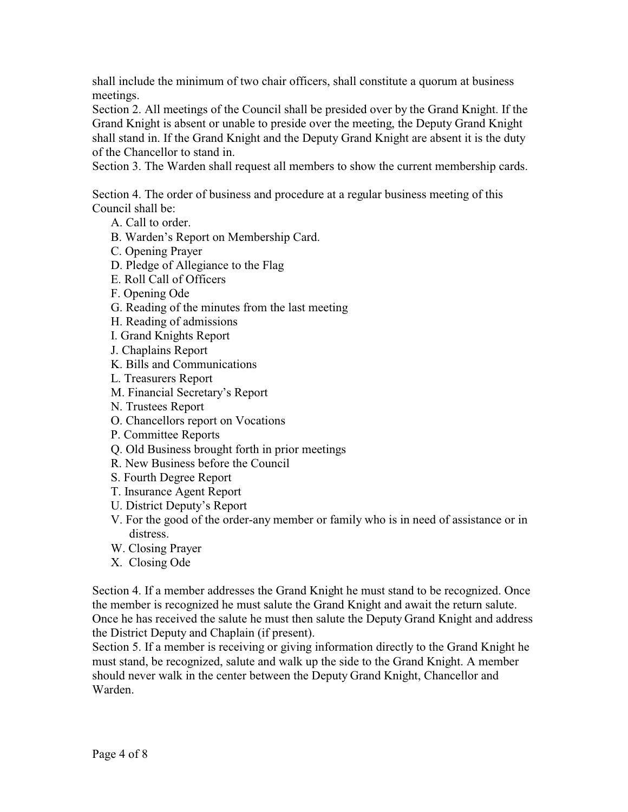shall include the minimum of two chair officers, shall constitute a quorum at business meetings.

Section 2. All meetings of the Council shall be presided over by the Grand Knight. If the Grand Knight is absent or unable to preside over the meeting, the Deputy Grand Knight shall stand in. If the Grand Knight and the Deputy Grand Knight are absent it is the duty of the Chancellor to stand in.

Section 3. The Warden shall request all members to show the current membership cards.

Section 4. The order of business and procedure at a regular business meeting of this Council shall be:

- A. Call to order.
- B. Warden's Report on Membership Card.
- C. Opening Prayer
- D. Pledge of Allegiance to the Flag
- E. Roll Call of Officers
- F. Opening Ode
- G. Reading of the minutes from the last meeting
- H. Reading of admissions
- I. Grand Knights Report
- J. Chaplains Report
- K. Bills and Communications
- L. Treasurers Report
- M. Financial Secretary's Report
- N. Trustees Report
- O. Chancellors report on Vocations
- P. Committee Reports
- Q. Old Business brought forth in prior meetings
- R. New Business before the Council
- S. Fourth Degree Report
- T. Insurance Agent Report
- U. District Deputy's Report
- V. For the good of the order-any member or family who is in need of assistance or in distress.
- W. Closing Prayer
- X. Closing Ode

Section 4. If a member addresses the Grand Knight he must stand to be recognized. Once the member is recognized he must salute the Grand Knight and await the return salute. Once he has received the salute he must then salute the Deputy Grand Knight and address the District Deputy and Chaplain (if present).

Section 5. If a member is receiving or giving information directly to the Grand Knight he must stand, be recognized, salute and walk up the side to the Grand Knight. A member should never walk in the center between the Deputy Grand Knight, Chancellor and Warden.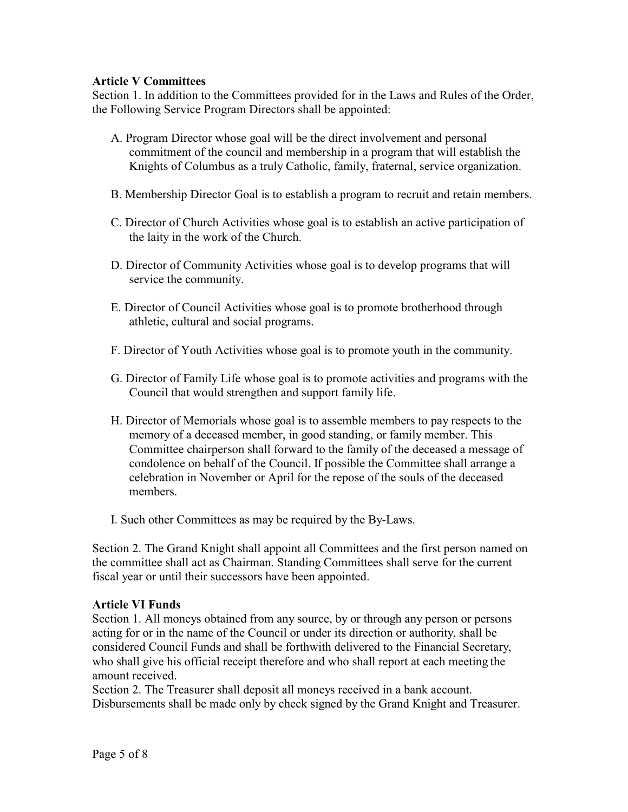## **Article V Committees**

Section 1. In addition to the Committees provided for in the Laws and Rules of the Order, the Following Service Program Directors shall be appointed:

- A. Program Director whose goal will be the direct involvement and personal commitment of the council and membership in a program that will establish the Knights of Columbus as a truly Catholic, family, fraternal, service organization.
- B. Membership Director Goal is to establish a program to recruit and retain members.
- C. Director of Church Activities whose goal is to establish an active participation of the laity in the work of the Church.
- D. Director of Community Activities whose goal is to develop programs that will service the community.
- E. Director of Council Activities whose goal is to promote brotherhood through athletic, cultural and social programs.
- F. Director of Youth Activities whose goal is to promote youth in the community.
- G. Director of Family Life whose goal is to promote activities and programs with the Council that would strengthen and support family life.
- H. Director of Memorials whose goal is to assemble members to pay respects to the memory of a deceased member, in good standing, or family member. This Committee chairperson shall forward to the family of the deceased a message of condolence on behalf of the Council. If possible the Committee shall arrange a celebration in November or April for the repose of the souls of the deceased members.
- I. Such other Committees as may be required by the By-Laws.

Section 2. The Grand Knight shall appoint all Committees and the first person named on the committee shall act as Chairman. Standing Committees shall serve for the current fiscal year or until their successors have been appointed.

#### **Article VI Funds**

Section 1. All moneys obtained from any source, by or through any person or persons acting for or in the name of the Council or under its direction or authority, shall be considered Council Funds and shall be forthwith delivered to the Financial Secretary, who shall give his official receipt therefore and who shall report at each meeting the amount received.

Section 2. The Treasurer shall deposit all moneys received in a bank account. Disbursements shall be made only by check signed by the Grand Knight and Treasurer.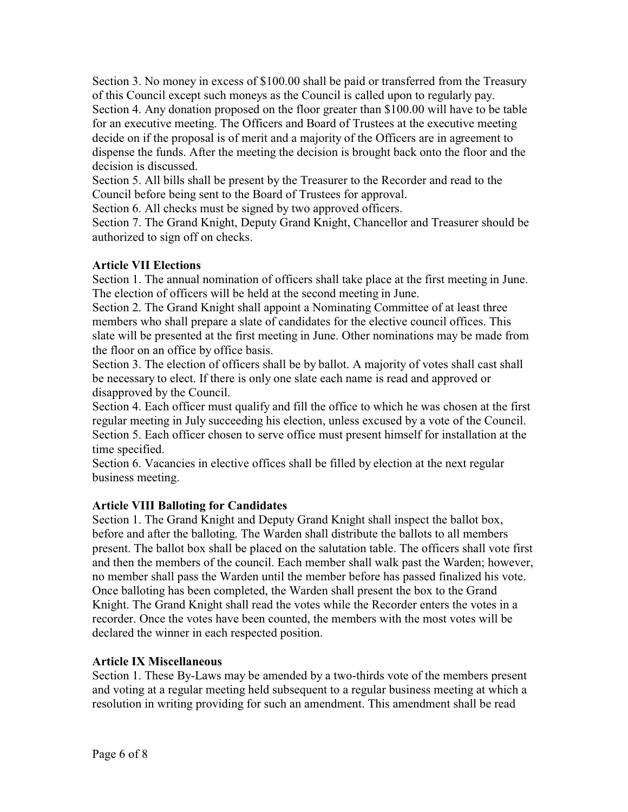Section 3. No money in excess of \$100.00 shall be paid or transferred from the Treasury of this Council except such moneys as the Council is called upon to regularly pay. Section 4. Any donation proposed on the floor greater than \$100.00 will have to be table for an executive meeting. The Officers and Board of Trustees at the executive meeting decide on if the proposal is of merit and a majority of the Officers are in agreement to dispense the funds. After the meeting the decision is brought back onto the floor and the decision is discussed.

Section 5. All bills shall be present by the Treasurer to the Recorder and read to the Council before being sent to the Board of Trustees for approval.

Section 6. All checks must be signed by two approved officers.

Section 7. The Grand Knight, Deputy Grand Knight, Chancellor and Treasurer should be authorized to sign off on checks.

# **Article VII Elections**

Section 1. The annual nomination of officers shall take place at the first meeting in June. The election of officers will be held at the second meeting in June.

Section 2. The Grand Knight shall appoint a Nominating Committee of at least three members who shall prepare a slate of candidates for the elective council offices. This slate will be presented at the first meeting in June. Other nominations may be made from the floor on an office by office basis.

Section 3. The election of officers shall be by ballot. A majority of votes shall cast shall be necessary to elect. If there is only one slate each name is read and approved or disapproved by the Council.

Section 4. Each officer must qualify and fill the office to which he was chosen at the first regular meeting in July succeeding his election, unless excused by a vote of the Council. Section 5. Each officer chosen to serve office must present himself for installation at the time specified.

Section 6. Vacancies in elective offices shall be filled by election at the next regular business meeting.

# **Article VIII Balloting for Candidates**

Section 1. The Grand Knight and Deputy Grand Knight shall inspect the ballot box, before and after the balloting. The Warden shall distribute the ballots to all members present. The ballot box shall be placed on the salutation table. The officers shall vote first and then the members of the council. Each member shall walk past the Warden; however, no member shall pass the Warden until the member before has passed finalized his vote. Once balloting has been completed, the Warden shall present the box to the Grand Knight. The Grand Knight shall read the votes while the Recorder enters the votes in a recorder. Once the votes have been counted, the members with the most votes will be declared the winner in each respected position.

## **Article IX Miscellaneous**

Section 1. These By-Laws may be amended by a two-thirds vote of the members present and voting at a regular meeting held subsequent to a regular business meeting at which a resolution in writing providing for such an amendment. This amendment shall be read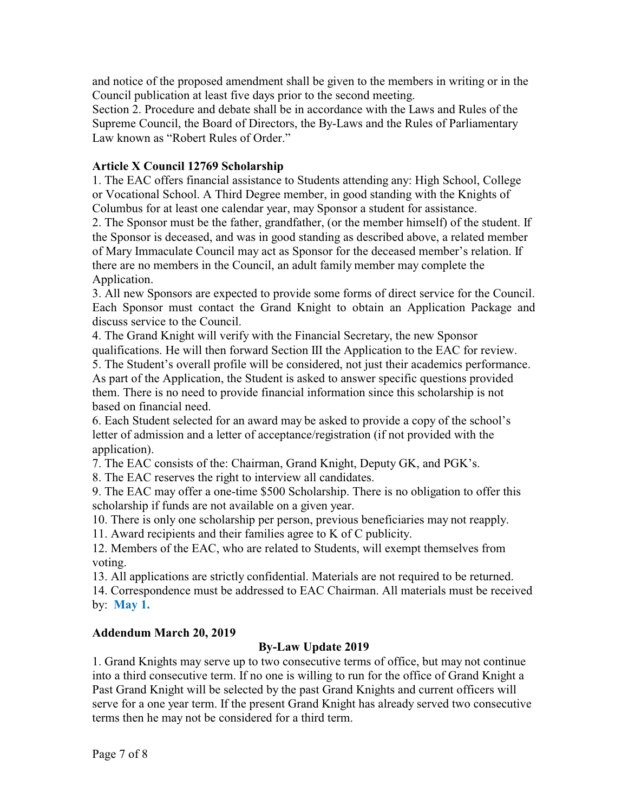and notice of the proposed amendment shall be given to the members in writing or in the Council publication at least five days prior to the second meeting.

Section 2. Procedure and debate shall be in accordance with the Laws and Rules of the Supreme Council, the Board of Directors, the By-Laws and the Rules of Parliamentary Law known as "Robert Rules of Order."

#### **Article X Council 12769 Scholarship**

1. The EAC offers financial assistance to Students attending any: High School, College or Vocational School. A Third Degree member, in good standing with the Knights of Columbus for at least one calendar year, may Sponsor a student for assistance.

2. The Sponsor must be the father, grandfather, (or the member himself) of the student. If the Sponsor is deceased, and was in good standing as described above, a related member of Mary Immaculate Council may act as Sponsor for the deceased member's relation. If there are no members in the Council, an adult family member may complete the Application.

3. All new Sponsors are expected to provide some forms of direct service for the Council. Each Sponsor must contact the Grand Knight to obtain an Application Package and discuss service to the Council.

4. The Grand Knight will verify with the Financial Secretary, the new Sponsor qualifications. He will then forward Section III the Application to the EAC for review. 5. The Student's overall profile will be considered, not just their academics performance. As part of the Application, the Student is asked to answer specific questions provided them. There is no need to provide financial information since this scholarship is not based on financial need.

6. Each Student selected for an award may be asked to provide a copy of the school's letter of admission and a letter of acceptance/registration (if not provided with the application).

7. The EAC consists of the: Chairman, Grand Knight, Deputy GK, and PGK's.

8. The EAC reserves the right to interview all candidates.

9. The EAC may offer a one-time \$500 Scholarship. There is no obligation to offer this scholarship if funds are not available on a given year.

10. There is only one scholarship per person, previous beneficiaries may not reapply.

11. Award recipients and their families agree to K of C publicity.

12. Members of the EAC, who are related to Students, will exempt themselves from voting.

13. All applications are strictly confidential. Materials are not required to be returned.

14. Correspondence must be addressed to EAC Chairman. All materials must be received by: **May 1.**

#### **Addendum March 20, 2019**

## **By-Law Update 2019**

1. Grand Knights may serve up to two consecutive terms of office, but may not continue into a third consecutive term. If no one is willing to run for the office of Grand Knight a Past Grand Knight will be selected by the past Grand Knights and current officers will serve for a one year term. If the present Grand Knight has already served two consecutive terms then he may not be considered for a third term.